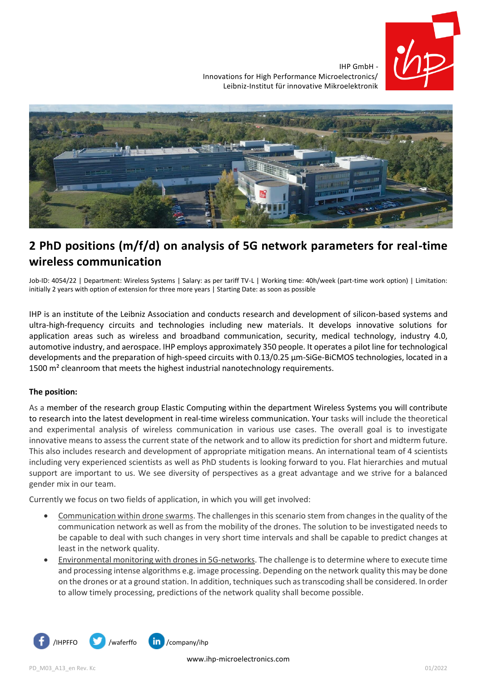

IHP GmbH - Innovations for High Performance Microelectronics/ Leibniz-Institut für innovative Mikroelektronik



# **2 PhD positions (m/f/d) on analysis of 5G network parameters for real-time wireless communication**

Job-ID: 4054/22 | Department: Wireless Systems | Salary: as per tariff TV-L | Working time: 40h/week (part-time work option) | Limitation: initially 2 years with option of extension for three more years | Starting Date: as soon as possible

IHP is an institute of the Leibniz Association and conducts research and development of silicon-based systems and ultra-high-frequency circuits and technologies including new materials. It develops innovative solutions for application areas such as wireless and broadband communication, security, medical technology, industry 4.0, automotive industry, and aerospace. IHP employs approximately 350 people. It operates a pilot line for technological developments and the preparation of high-speed circuits with 0.13/0.25 µm-SiGe-BiCMOS technologies, located in a 1500 m<sup>2</sup> cleanroom that meets the highest industrial nanotechnology requirements.

## **The position:**

As a member of the research group Elastic Computing within the department Wireless Systems you will contribute to research into the latest development in real-time wireless communication. Your tasks will include the theoretical and experimental analysis of wireless communication in various use cases. The overall goal is to investigate innovative means to assess the current state of the network and to allow its prediction for short and midterm future. This also includes research and development of appropriate mitigation means. An international team of 4 scientists including very experienced scientists as well as PhD students is looking forward to you. Flat hierarchies and mutual support are important to us. We see diversity of perspectives as a great advantage and we strive for a balanced gender mix in our team.

Currently we focus on two fields of application, in which you will get involved:

- Communication within drone swarms. The challenges in this scenario stem from changes in the quality of the communication network as well as from the mobility of the drones. The solution to be investigated needs to be capable to deal with such changes in very short time intervals and shall be capable to predict changes at least in the network quality.
- Environmental monitoring with drones in 5G-networks. The challenge is to determine where to execute time and processing intense algorithms e.g. image processing. Depending on the network quality this may be done on the drones or at a ground station. In addition, techniques such as transcoding shall be considered. In order to allow timely processing, predictions of the network quality shall become possible.

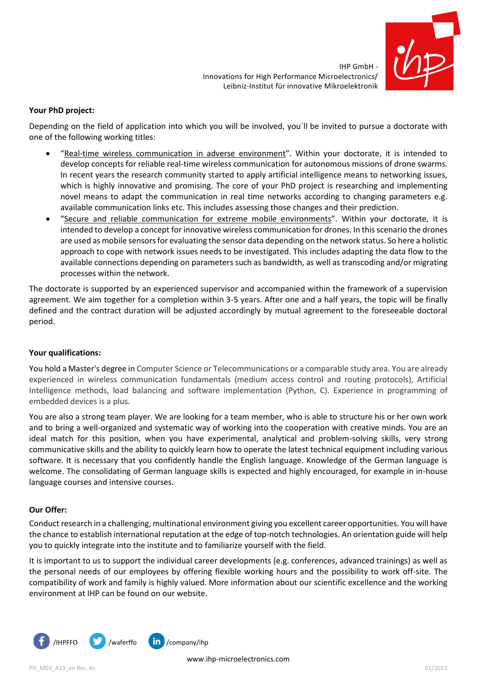IHP GmbH - Innovations for High Performance Microelectronics/ Leibniz-Institut für innovative Mikroelektronik

## **Your PhD project:**

Depending on the field of application into which you will be involved, you´ll be invited to pursue a doctorate with one of the following working titles:

- "Real-time wireless communication in adverse environment". Within your doctorate, it is intended to develop concepts for reliable real-time wireless communication for autonomous missions of drone swarms. In recent years the research community started to apply artificial intelligence means to networking issues, which is highly innovative and promising. The core of your PhD project is researching and implementing novel means to adapt the communication in real time networks according to changing parameters e.g. available communication links etc. This includes assessing those changes and their prediction.
- "Secure and reliable communication for extreme mobile environments". Within your doctorate, it is intended to develop a concept for innovative wireless communication for drones. In this scenario the drones are used as mobile sensors for evaluating the sensor data depending on the network status. So here a holistic approach to cope with network issues needs to be investigated. This includes adapting the data flow to the available connections depending on parameters such as bandwidth, as well as transcoding and/or migrating processes within the network.

The doctorate is supported by an experienced supervisor and accompanied within the framework of a supervision agreement. We aim together for a completion within 3-5 years. After one and a half years, the topic will be finally defined and the contract duration will be adjusted accordingly by mutual agreement to the foreseeable doctoral period.

#### **Your qualifications:**

You hold a Master's degree in Computer Science or Telecommunications or a comparable study area. You are already experienced in wireless communication fundamentals (medium access control and routing protocols), Artificial Intelligence methods, load balancing and software implementation (Python, C). Experience in programming of embedded devices is a plus.

You are also a strong team player. We are looking for a team member, who is able to structure his or her own work and to bring a well-organized and systematic way of working into the cooperation with creative minds. You are an ideal match for this position, when you have experimental, analytical and problem-solving skills, very strong communicative skills and the ability to quickly learn how to operate the latest technical equipment including various software. It is necessary that you confidently handle the English language. Knowledge of the German language is welcome. The consolidating of German language skills is expected and highly encouraged, for example in in-house language courses and intensive courses.

### **Our Offer:**

Conduct research in a challenging, multinational environment giving you excellent career opportunities. You will have the chance to establish international reputation at the edge of top-notch technologies. An orientation guide will help you to quickly integrate into the institute and to familiarize yourself with the field.

It is important to us to support the individual career developments (e.g. conferences, advanced trainings) as well as the personal needs of our employees by offering flexible working hours and the possibility to work off-site. The compatibility of work and family is highly valued. More information about our scientific excellence and the working environment at IHP can be found on our website.